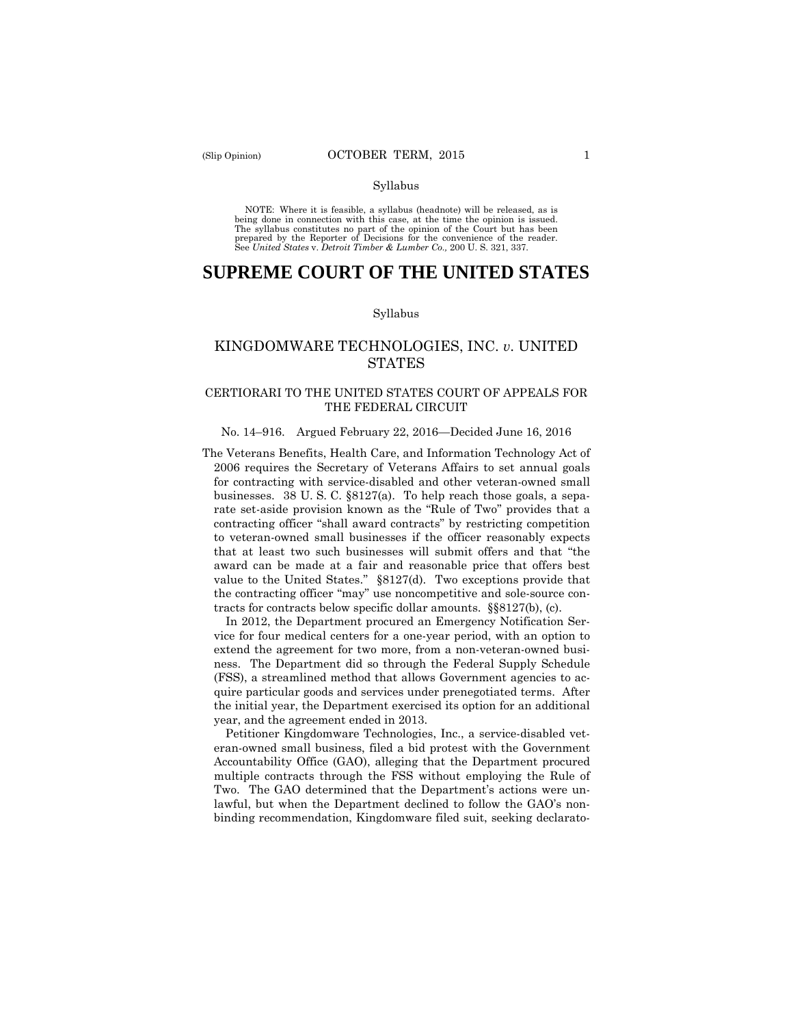#### Syllabus

 NOTE: Where it is feasible, a syllabus (headnote) will be released, as is being done in connection with this case, at the time the opinion is issued. The syllabus constitutes no part of the opinion of the Court but has been<br>prepared by the Reporter of Decisions for the convenience of the reader.<br>See United States v. Detroit Timber & Lumber Co., 200 U.S. 321, 337.

# **SUPREME COURT OF THE UNITED STATES**

#### Syllabus

## KINGDOMWARE TECHNOLOGIES, INC. *v*. UNITED STATES

## CERTIORARI TO THE UNITED STATES COURT OF APPEALS FOR THE FEDERAL CIRCUIT

#### No. 14–916. Argued February 22, 2016—Decided June 16, 2016

 businesses. 38 U. S. C. §8127(a). To help reach those goals, a sepa-The Veterans Benefits, Health Care, and Information Technology Act of 2006 requires the Secretary of Veterans Affairs to set annual goals for contracting with service-disabled and other veteran-owned small rate set-aside provision known as the "Rule of Two" provides that a contracting officer "shall award contracts" by restricting competition to veteran-owned small businesses if the officer reasonably expects that at least two such businesses will submit offers and that "the award can be made at a fair and reasonable price that offers best value to the United States." §8127(d). Two exceptions provide that the contracting officer "may" use noncompetitive and sole-source contracts for contracts below specific dollar amounts. §§8127(b), (c).

In 2012, the Department procured an Emergency Notification Service for four medical centers for a one-year period, with an option to extend the agreement for two more, from a non-veteran-owned business. The Department did so through the Federal Supply Schedule (FSS), a streamlined method that allows Government agencies to acquire particular goods and services under prenegotiated terms. After the initial year, the Department exercised its option for an additional year, and the agreement ended in 2013.

 Petitioner Kingdomware Technologies, Inc., a service-disabled veteran-owned small business, filed a bid protest with the Government Accountability Office (GAO), alleging that the Department procured multiple contracts through the FSS without employing the Rule of Two. The GAO determined that the Department's actions were unlawful, but when the Department declined to follow the GAO's nonbinding recommendation, Kingdomware filed suit, seeking declarato-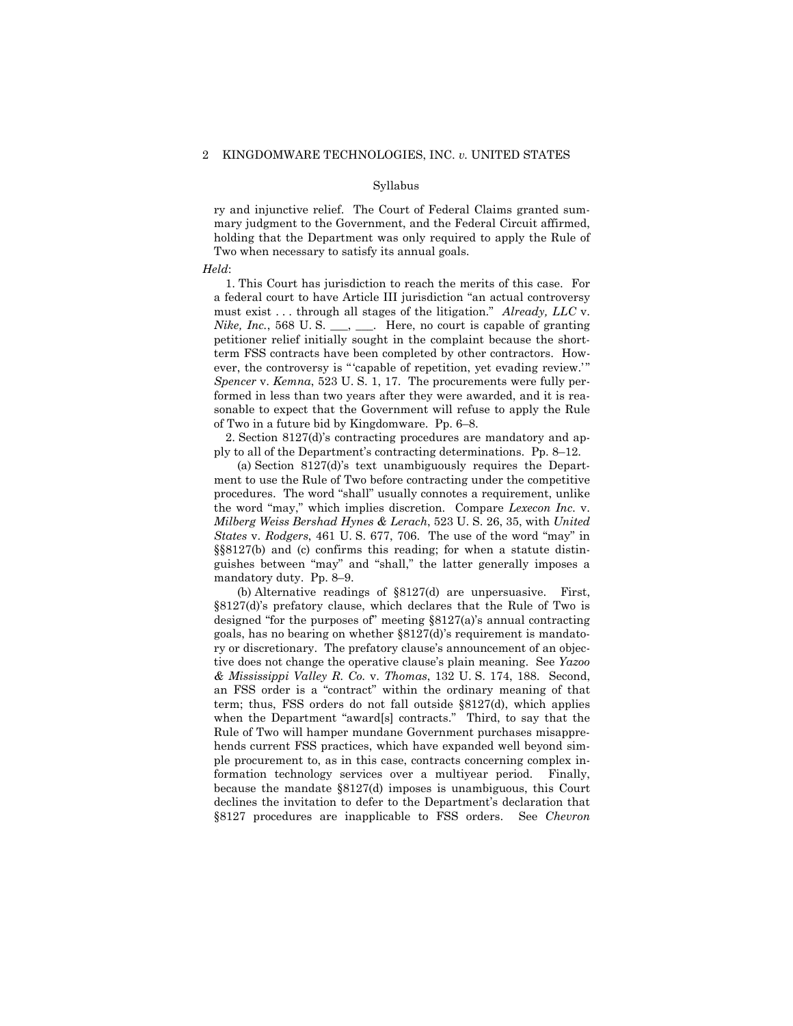#### Syllabus

ry and injunctive relief. The Court of Federal Claims granted summary judgment to the Government, and the Federal Circuit affirmed, holding that the Department was only required to apply the Rule of Two when necessary to satisfy its annual goals.

#### *Held*:

1. This Court has jurisdiction to reach the merits of this case. For a federal court to have Article III jurisdiction "an actual controversy must exist . . . through all stages of the litigation." *Already, LLC* v. *Nike, Inc.*, 568 U.S.  $\_\_\_\_\_\_\_\_\_\_\$  Here, no court is capable of granting petitioner relief initially sought in the complaint because the shortterm FSS contracts have been completed by other contractors. However, the controversy is " capable of repetition, yet evading review." *Spencer* v. *Kemna*, 523 U. S. 1, 17. The procurements were fully performed in less than two years after they were awarded, and it is reasonable to expect that the Government will refuse to apply the Rule of Two in a future bid by Kingdomware. Pp. 6–8.

2. Section 8127(d)'s contracting procedures are mandatory and apply to all of the Department's contracting determinations. Pp. 8–12.

 guishes between "may" and "shall," the latter generally imposes a (a) Section 8127(d)'s text unambiguously requires the Department to use the Rule of Two before contracting under the competitive procedures. The word "shall" usually connotes a requirement, unlike the word "may," which implies discretion. Compare *Lexecon Inc.* v. *Milberg Weiss Bershad Hynes & Lerach*, 523 U. S. 26, 35, with *United States* v. *Rodgers*, 461 U. S. 677, 706. The use of the word "may" in §§8127(b) and (c) confirms this reading; for when a statute distinmandatory duty. Pp. 8–9.

(b) Alternative readings of §8127(d) are unpersuasive. First, §8127(d)'s prefatory clause, which declares that the Rule of Two is designed "for the purposes of" meeting §8127(a)'s annual contracting goals, has no bearing on whether §8127(d)'s requirement is mandatory or discretionary. The prefatory clause's announcement of an objective does not change the operative clause's plain meaning. See *Yazoo & Mississippi Valley R. Co.* v. *Thomas*, 132 U. S. 174, 188. Second, an FSS order is a "contract" within the ordinary meaning of that term; thus, FSS orders do not fall outside §8127(d), which applies when the Department "award[s] contracts." Third, to say that the Rule of Two will hamper mundane Government purchases misapprehends current FSS practices, which have expanded well beyond simple procurement to, as in this case, contracts concerning complex information technology services over a multiyear period. Finally, because the mandate §8127(d) imposes is unambiguous, this Court declines the invitation to defer to the Department's declaration that §8127 procedures are inapplicable to FSS orders. See *Chevron*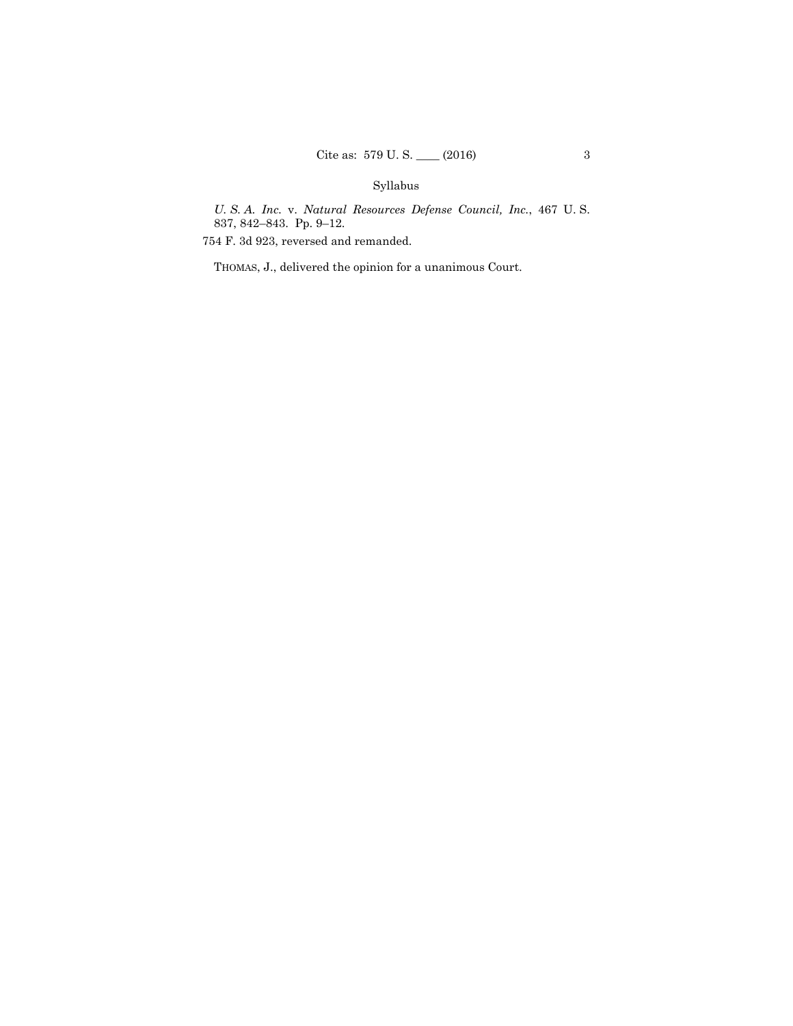## Syllabus

*U. S. A. Inc.* v. *Natural Resources Defense Council, Inc.*, 467 U. S. 837, 842–843. Pp. 9–12.

754 F. 3d 923, reversed and remanded.

THOMAS, J., delivered the opinion for a unanimous Court.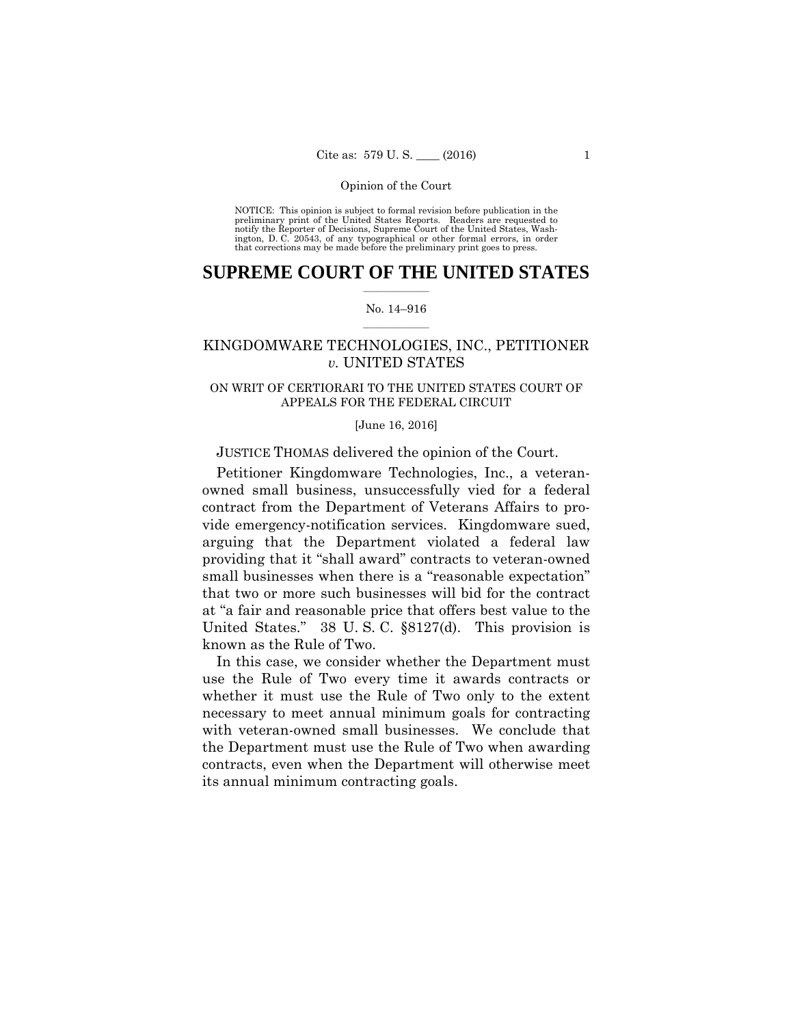preliminary print of the United States Reports. Readers are requested to notify the Reporter of Decisions, Supreme Court of the United States, Wash- ington, D. C. 20543, of any typographical or other formal errors, in order that corrections may be made before the preliminary print goes to press. NOTICE: This opinion is subject to formal revision before publication in the

## $\frac{1}{2}$  ,  $\frac{1}{2}$  ,  $\frac{1}{2}$  ,  $\frac{1}{2}$  ,  $\frac{1}{2}$  ,  $\frac{1}{2}$  ,  $\frac{1}{2}$ **SUPREME COURT OF THE UNITED STATES**

#### $\frac{1}{2}$  ,  $\frac{1}{2}$  ,  $\frac{1}{2}$  ,  $\frac{1}{2}$  ,  $\frac{1}{2}$  ,  $\frac{1}{2}$ No. 14–916

## KINGDOMWARE TECHNOLOGIES, INC., PETITIONER *v.* UNITED STATES

## ON WRIT OF CERTIORARI TO THE UNITED STATES COURT OF APPEALS FOR THE FEDERAL CIRCUIT

### [June 16, 2016]

## JUSTICE THOMAS delivered the opinion of the Court.

Petitioner Kingdomware Technologies, Inc., a veteranowned small business, unsuccessfully vied for a federal contract from the Department of Veterans Affairs to provide emergency-notification services. Kingdomware sued, arguing that the Department violated a federal law providing that it "shall award" contracts to veteran-owned small businesses when there is a "reasonable expectation" that two or more such businesses will bid for the contract at "a fair and reasonable price that offers best value to the United States." 38 U. S. C. §8127(d). This provision is known as the Rule of Two.

In this case, we consider whether the Department must use the Rule of Two every time it awards contracts or whether it must use the Rule of Two only to the extent necessary to meet annual minimum goals for contracting with veteran-owned small businesses. We conclude that the Department must use the Rule of Two when awarding contracts, even when the Department will otherwise meet its annual minimum contracting goals.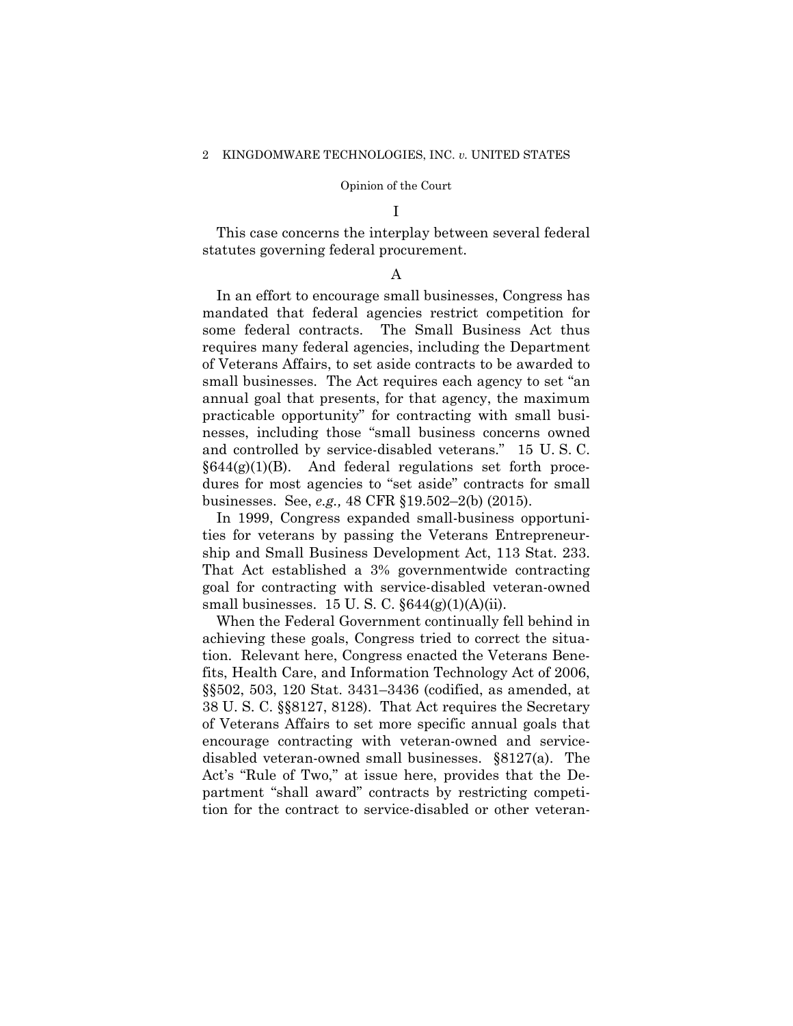#### I

This case concerns the interplay between several federal statutes governing federal procurement.

#### A

In an effort to encourage small businesses, Congress has mandated that federal agencies restrict competition for some federal contracts. The Small Business Act thus requires many federal agencies, including the Department of Veterans Affairs, to set aside contracts to be awarded to small businesses. The Act requires each agency to set "an annual goal that presents, for that agency, the maximum practicable opportunity" for contracting with small businesses, including those "small business concerns owned and controlled by service-disabled veterans." 15 U. S. C.  $§644(g)(1)(B)$ . And federal regulations set forth procedures for most agencies to "set aside" contracts for small businesses. See, *e.g.,* 48 CFR §19.502–2(b) (2015).

In 1999, Congress expanded small-business opportunities for veterans by passing the Veterans Entrepreneurship and Small Business Development Act, 113 Stat. 233. That Act established a 3% governmentwide contracting goal for contracting with service-disabled veteran-owned small businesses. 15 U.S.C.  $\S644(g)(1)(A)(ii)$ .

When the Federal Government continually fell behind in achieving these goals, Congress tried to correct the situation. Relevant here, Congress enacted the Veterans Benefits, Health Care, and Information Technology Act of 2006, §§502, 503, 120 Stat. 3431–3436 (codified, as amended, at 38 U. S. C. §§8127, 8128). That Act requires the Secretary of Veterans Affairs to set more specific annual goals that encourage contracting with veteran-owned and servicedisabled veteran-owned small businesses. §8127(a). The Act's "Rule of Two," at issue here, provides that the Department "shall award" contracts by restricting competition for the contract to service-disabled or other veteran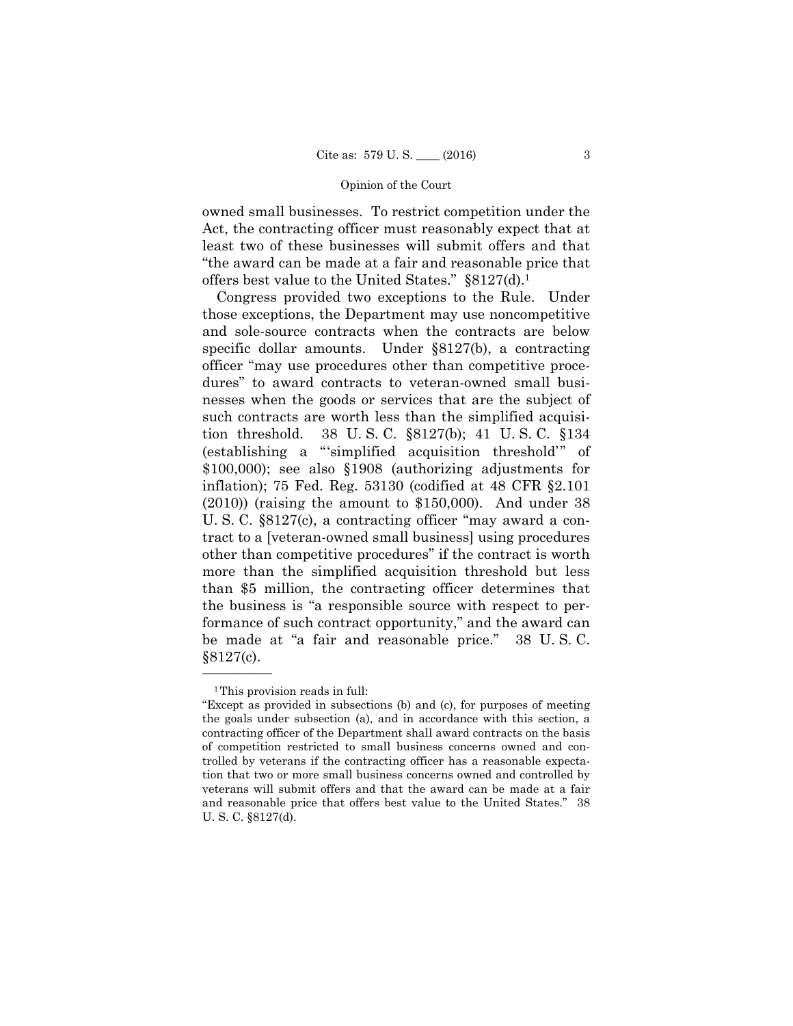owned small businesses. To restrict competition under the Act, the contracting officer must reasonably expect that at least two of these businesses will submit offers and that "the award can be made at a fair and reasonable price that offers best value to the United States." §8127(d).1

 be made at "a fair and reasonable price." 38 U. S. C. Congress provided two exceptions to the Rule. Under those exceptions, the Department may use noncompetitive and sole-source contracts when the contracts are below specific dollar amounts. Under §8127(b), a contracting officer "may use procedures other than competitive procedures" to award contracts to veteran-owned small businesses when the goods or services that are the subject of such contracts are worth less than the simplified acquisition threshold. 38 U. S. C. §8127(b); 41 U. S. C. §134 (establishing a "'simplified acquisition threshold'" of \$100,000); see also §1908 (authorizing adjustments for inflation); 75 Fed. Reg. 53130 (codified at 48 CFR §2.101  $(2010)$ ) (raising the amount to \$150,000). And under 38 U. S. C. §8127(c), a contracting officer "may award a contract to a [veteran-owned small business] using procedures other than competitive procedures" if the contract is worth more than the simplified acquisition threshold but less than \$5 million, the contracting officer determines that the business is "a responsible source with respect to performance of such contract opportunity," and the award can §8127(c).

<sup>&</sup>lt;sup>1</sup>This provision reads in full:

 the goals under subsection (a), and in accordance with this section, a "Except as provided in subsections (b) and (c), for purposes of meeting contracting officer of the Department shall award contracts on the basis of competition restricted to small business concerns owned and controlled by veterans if the contracting officer has a reasonable expectation that two or more small business concerns owned and controlled by veterans will submit offers and that the award can be made at a fair and reasonable price that offers best value to the United States." 38 U. S. C. §8127(d).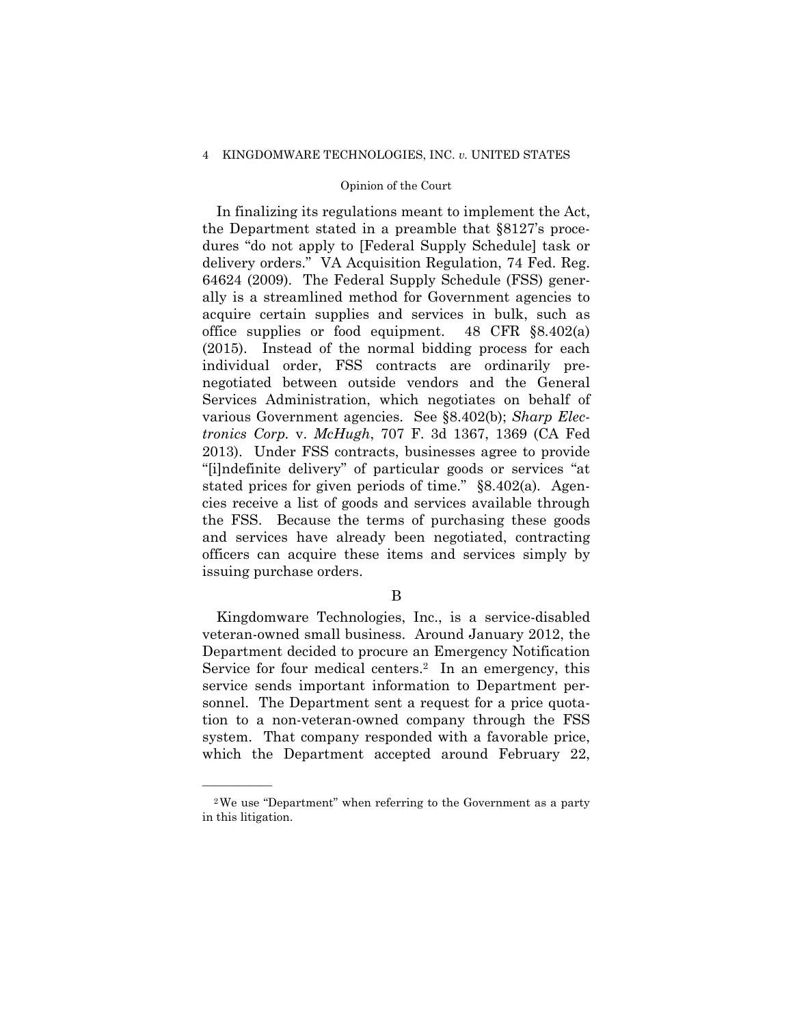#### 4 KINGDOMWARE TECHNOLOGIES, INC. *v.* UNITED STATES

## Opinion of the Court

In finalizing its regulations meant to implement the Act, the Department stated in a preamble that §8127's procedures "do not apply to [Federal Supply Schedule] task or delivery orders." VA Acquisition Regulation, 74 Fed. Reg. 64624 (2009). The Federal Supply Schedule (FSS) generally is a streamlined method for Government agencies to acquire certain supplies and services in bulk, such as office supplies or food equipment. 48 CFR §8.402(a) (2015). Instead of the normal bidding process for each individual order, FSS contracts are ordinarily prenegotiated between outside vendors and the General Services Administration, which negotiates on behalf of various Government agencies. See §8.402(b); *Sharp Electronics Corp.* v. *McHugh*, 707 F. 3d 1367, 1369 (CA Fed 2013). Under FSS contracts, businesses agree to provide "[i]ndefinite delivery" of particular goods or services "at stated prices for given periods of time." §8.402(a)*.* Agencies receive a list of goods and services available through the FSS. Because the terms of purchasing these goods and services have already been negotiated, contracting officers can acquire these items and services simply by issuing purchase orders.

B

Kingdomware Technologies, Inc., is a service-disabled veteran-owned small business. Around January 2012, the Department decided to procure an Emergency Notification Service for four medical centers.<sup>2</sup> In an emergency, this service sends important information to Department personnel. The Department sent a request for a price quotation to a non-veteran-owned company through the FSS system. That company responded with a favorable price, which the Department accepted around February 22,

<sup>2</sup>We use "Department" when referring to the Government as a party in this litigation.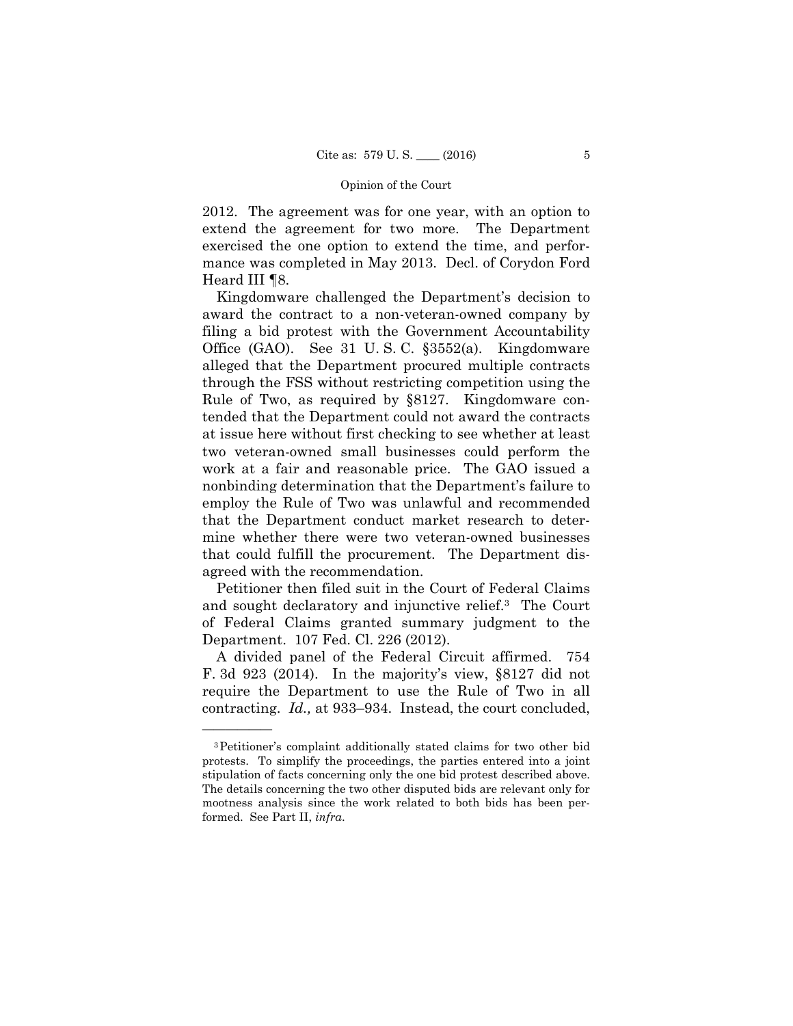2012. The agreement was for one year, with an option to extend the agreement for two more. The Department exercised the one option to extend the time, and performance was completed in May 2013. Decl. of Corydon Ford Heard III ¶8.

Kingdomware challenged the Department's decision to award the contract to a non-veteran-owned company by filing a bid protest with the Government Accountability Office (GAO). See 31 U. S. C. §3552(a). Kingdomware alleged that the Department procured multiple contracts through the FSS without restricting competition using the Rule of Two, as required by §8127. Kingdomware contended that the Department could not award the contracts at issue here without first checking to see whether at least two veteran-owned small businesses could perform the work at a fair and reasonable price. The GAO issued a nonbinding determination that the Department's failure to employ the Rule of Two was unlawful and recommended that the Department conduct market research to determine whether there were two veteran-owned businesses that could fulfill the procurement. The Department disagreed with the recommendation.

Petitioner then filed suit in the Court of Federal Claims and sought declaratory and injunctive relief.3 The Court of Federal Claims granted summary judgment to the Department. 107 Fed. Cl. 226 (2012).

 contracting. *Id.,* at 933–934. Instead, the court concluded, A divided panel of the Federal Circuit affirmed. 754 F. 3d 923 (2014). In the majority's view, §8127 did not require the Department to use the Rule of Two in all

<sup>3</sup>Petitioner's complaint additionally stated claims for two other bid protests. To simplify the proceedings, the parties entered into a joint stipulation of facts concerning only the one bid protest described above. The details concerning the two other disputed bids are relevant only for mootness analysis since the work related to both bids has been performed. See Part II, *infra*.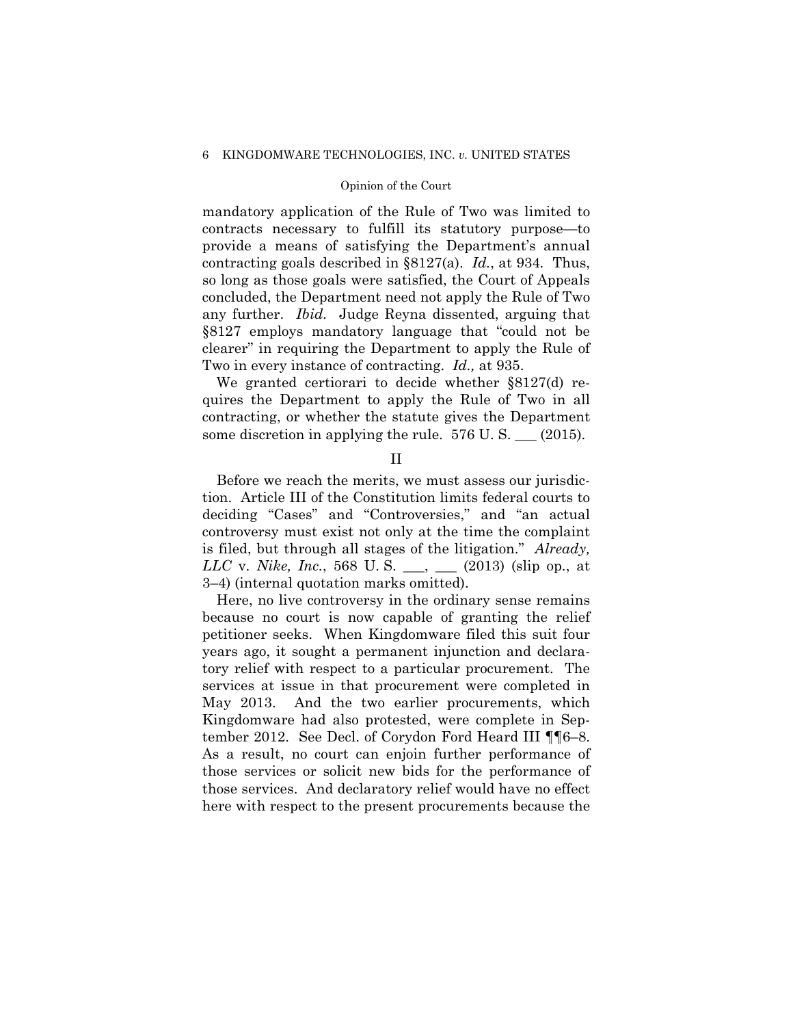mandatory application of the Rule of Two was limited to contracts necessary to fulfill its statutory purpose—to provide a means of satisfying the Department's annual contracting goals described in §8127(a). *Id.*, at 934*.* Thus, so long as those goals were satisfied, the Court of Appeals concluded, the Department need not apply the Rule of Two any further. *Ibid.* Judge Reyna dissented, arguing that §8127 employs mandatory language that "could not be clearer" in requiring the Department to apply the Rule of Two in every instance of contracting. *Id.,* at 935.

We granted certiorari to decide whether §8127(d) requires the Department to apply the Rule of Two in all contracting, or whether the statute gives the Department some discretion in applying the rule. 576 U.S.  $\qquad (2015)$ .

II

Before we reach the merits, we must assess our jurisdiction. Article III of the Constitution limits federal courts to deciding "Cases" and "Controversies," and "an actual controversy must exist not only at the time the complaint is filed, but through all stages of the litigation." *Already, LLC* v. *Nike, Inc.*, 568 U. S. \_\_\_, \_\_\_ (2013) (slip op., at 3–4) (internal quotation marks omitted).

Here, no live controversy in the ordinary sense remains because no court is now capable of granting the relief petitioner seeks. When Kingdomware filed this suit four years ago, it sought a permanent injunction and declaratory relief with respect to a particular procurement. The services at issue in that procurement were completed in May 2013. And the two earlier procurements, which Kingdomware had also protested, were complete in September 2012. See Decl. of Corydon Ford Heard III ¶¶6–8. As a result, no court can enjoin further performance of those services or solicit new bids for the performance of those services. And declaratory relief would have no effect here with respect to the present procurements because the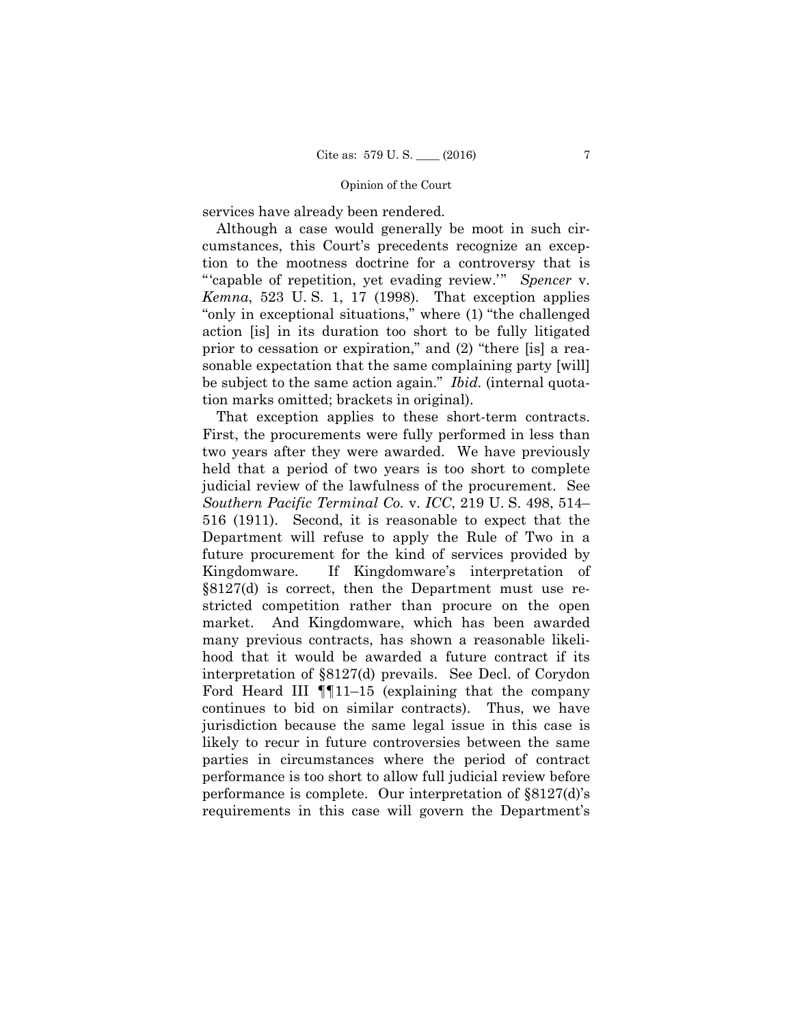services have already been rendered.

Although a case would generally be moot in such circumstances, this Court's precedents recognize an exception to the mootness doctrine for a controversy that is "'capable of repetition, yet evading review.'" *Spencer* v. *Kemna*, 523 U. S. 1, 17 (1998). That exception applies "only in exceptional situations," where (1) "the challenged action [is] in its duration too short to be fully litigated prior to cessation or expiration," and (2) "there [is] a reasonable expectation that the same complaining party [will] be subject to the same action again." *Ibid.* (internal quotation marks omitted; brackets in original).

 That exception applies to these short-term contracts. First, the procurements were fully performed in less than two years after they were awarded. We have previously held that a period of two years is too short to complete judicial review of the lawfulness of the procurement. See *Southern Pacific Terminal Co.* v. *ICC*, 219 U. S. 498, 514– 516 (1911). Second, it is reasonable to expect that the Department will refuse to apply the Rule of Two in a future procurement for the kind of services provided by Kingdomware. If Kingdomware's interpretation of §8127(d) is correct, then the Department must use restricted competition rather than procure on the open market. And Kingdomware, which has been awarded many previous contracts, has shown a reasonable likelihood that it would be awarded a future contract if its interpretation of §8127(d) prevails. See Decl. of Corydon Ford Heard III  $\P$ 11–15 (explaining that the company continues to bid on similar contracts). Thus, we have jurisdiction because the same legal issue in this case is likely to recur in future controversies between the same parties in circumstances where the period of contract performance is too short to allow full judicial review before performance is complete. Our interpretation of §8127(d)'s requirements in this case will govern the Department's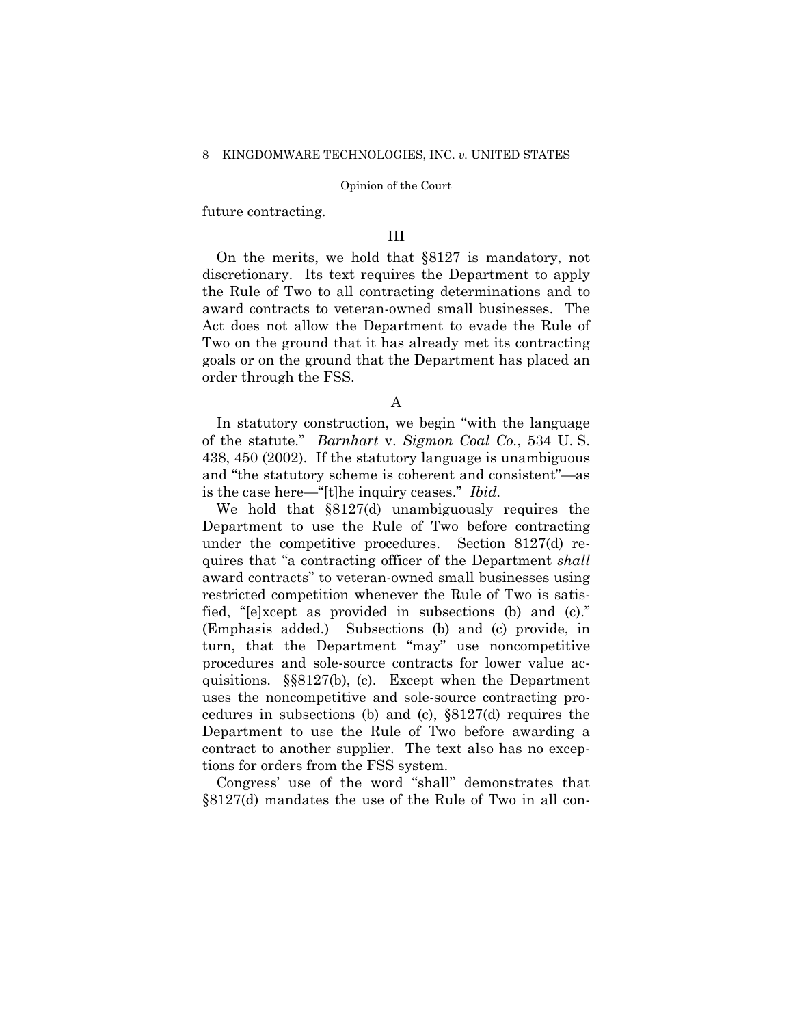future contracting.

## III

On the merits, we hold that §8127 is mandatory, not discretionary. Its text requires the Department to apply the Rule of Two to all contracting determinations and to award contracts to veteran-owned small businesses. The Act does not allow the Department to evade the Rule of Two on the ground that it has already met its contracting goals or on the ground that the Department has placed an order through the FSS.

A

 of the statute." *Barnhart* v. *Sigmon Coal Co.*, 534 U. S. In statutory construction, we begin "with the language 438, 450 (2002). If the statutory language is unambiguous and "the statutory scheme is coherent and consistent"—as is the case here—"[t]he inquiry ceases." *Ibid.* 

We hold that §8127(d) unambiguously requires the Department to use the Rule of Two before contracting under the competitive procedures. Section 8127(d) requires that "a contracting officer of the Department *shall*  award contracts" to veteran-owned small businesses using restricted competition whenever the Rule of Two is satisfied, "[e]xcept as provided in subsections (b) and (c)." (Emphasis added.) Subsections (b) and (c) provide, in turn, that the Department "may" use noncompetitive procedures and sole-source contracts for lower value acquisitions. §§8127(b), (c). Except when the Department uses the noncompetitive and sole-source contracting procedures in subsections (b) and (c), §8127(d) requires the Department to use the Rule of Two before awarding a contract to another supplier. The text also has no exceptions for orders from the FSS system.

Congress' use of the word "shall" demonstrates that §8127(d) mandates the use of the Rule of Two in all con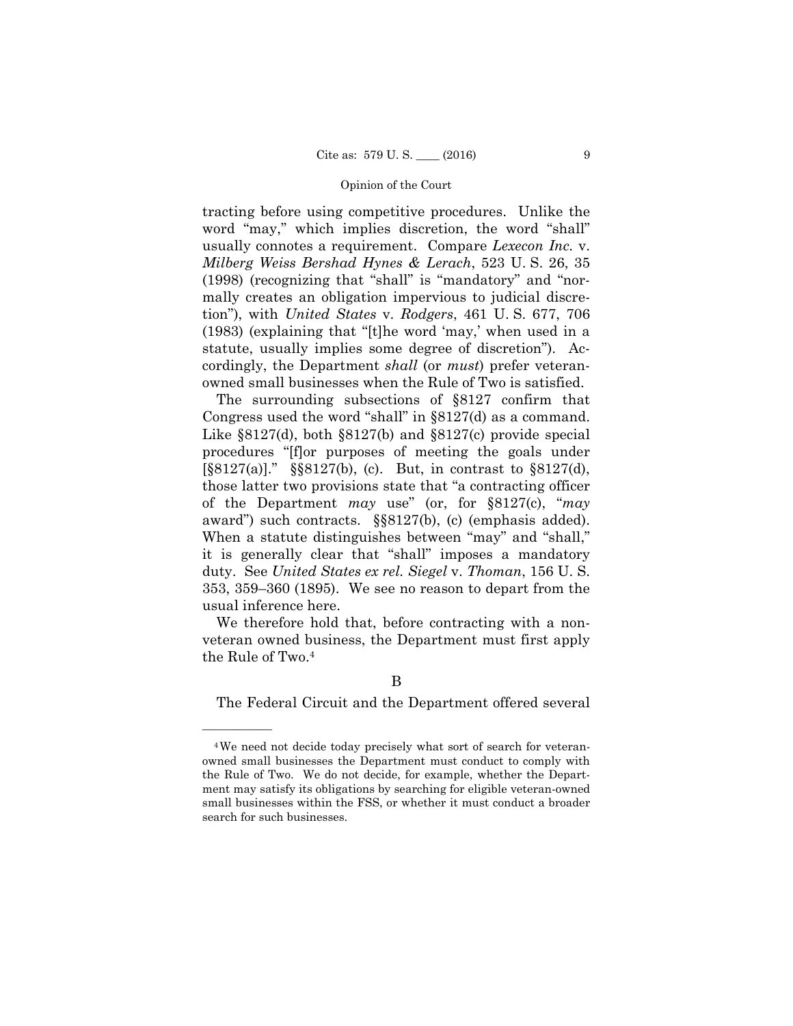tracting before using competitive procedures. Unlike the word "may," which implies discretion, the word "shall" usually connotes a requirement. Compare *Lexecon Inc.* v. *Milberg Weiss Bershad Hynes & Lerach*, 523 U. S. 26, 35 (1998) (recognizing that "shall" is "mandatory" and "normally creates an obligation impervious to judicial discretion"), with *United States* v. *Rodgers*, 461 U. S. 677, 706 (1983) (explaining that "[t]he word 'may,' when used in a statute, usually implies some degree of discretion"). Accordingly, the Department *shall* (or *must*) prefer veteranowned small businesses when the Rule of Two is satisfied.

The surrounding subsections of §8127 confirm that Congress used the word "shall" in §8127(d) as a command. Like §8127(d), both §8127(b) and §8127(c) provide special procedures "[f]or purposes of meeting the goals under [§8127(a)]." §§8127(b), (c). But, in contrast to §8127(d), those latter two provisions state that "a contracting officer of the Department *may* use" (or, for §8127(c), "*may*  award") such contracts. §§8127(b), (c) (emphasis added). When a statute distinguishes between "may" and "shall," it is generally clear that "shall" imposes a mandatory duty. See *United States ex rel. Siegel* v. *Thoman*, 156 U. S. 353, 359–360 (1895). We see no reason to depart from the usual inference here.

We therefore hold that, before contracting with a nonveteran owned business, the Department must first apply the Rule of Two.4

## B

The Federal Circuit and the Department offered several

<sup>4</sup>We need not decide today precisely what sort of search for veteranowned small businesses the Department must conduct to comply with the Rule of Two. We do not decide, for example, whether the Department may satisfy its obligations by searching for eligible veteran-owned small businesses within the FSS, or whether it must conduct a broader search for such businesses.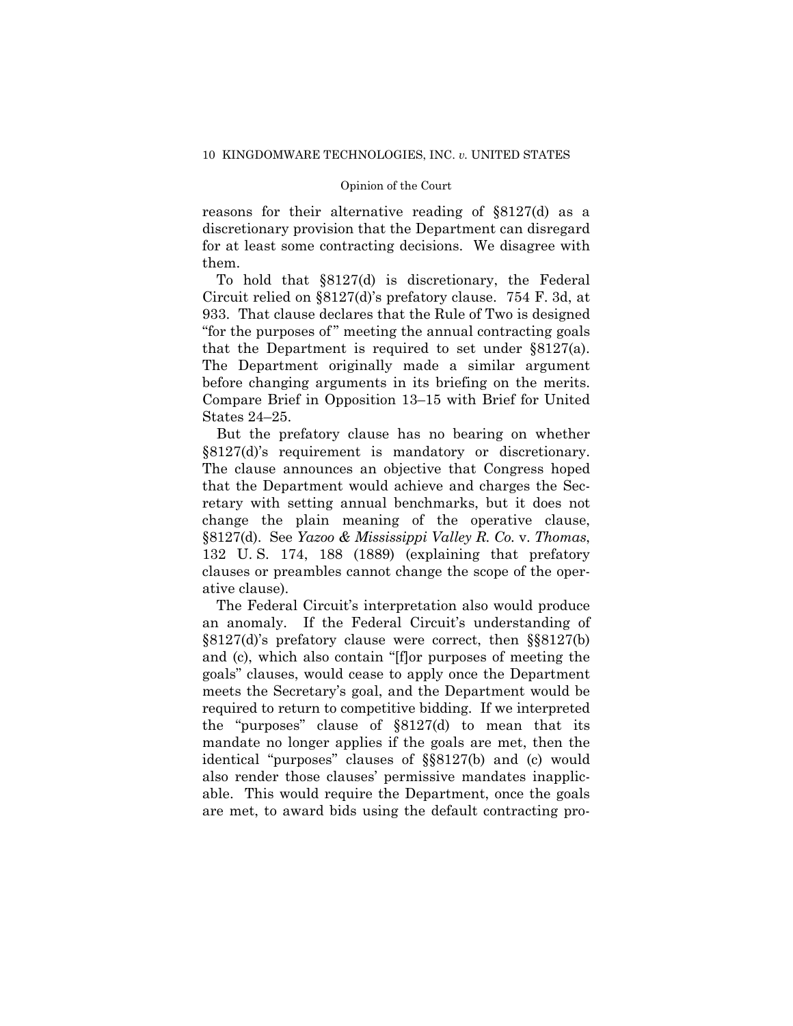reasons for their alternative reading of §8127(d) as a discretionary provision that the Department can disregard for at least some contracting decisions. We disagree with them.

 that the Department is required to set under §8127(a). To hold that §8127(d) is discretionary, the Federal Circuit relied on §8127(d)'s prefatory clause. 754 F. 3d, at 933. That clause declares that the Rule of Two is designed "for the purposes of " meeting the annual contracting goals The Department originally made a similar argument before changing arguments in its briefing on the merits. Compare Brief in Opposition 13–15 with Brief for United States 24–25.

But the prefatory clause has no bearing on whether §8127(d)'s requirement is mandatory or discretionary. The clause announces an objective that Congress hoped that the Department would achieve and charges the Secretary with setting annual benchmarks, but it does not change the plain meaning of the operative clause, §8127(d). See *Yazoo & Mississippi Valley R. Co.* v. *Thomas*, 132 U. S. 174, 188 (1889) (explaining that prefatory clauses or preambles cannot change the scope of the operative clause).

 required to return to competitive bidding. If we interpreted The Federal Circuit's interpretation also would produce an anomaly. If the Federal Circuit's understanding of §8127(d)'s prefatory clause were correct, then §§8127(b) and (c), which also contain "[f]or purposes of meeting the goals" clauses, would cease to apply once the Department meets the Secretary's goal, and the Department would be the "purposes" clause of §8127(d) to mean that its mandate no longer applies if the goals are met, then the identical "purposes" clauses of §§8127(b) and (c) would also render those clauses' permissive mandates inapplicable. This would require the Department, once the goals are met, to award bids using the default contracting pro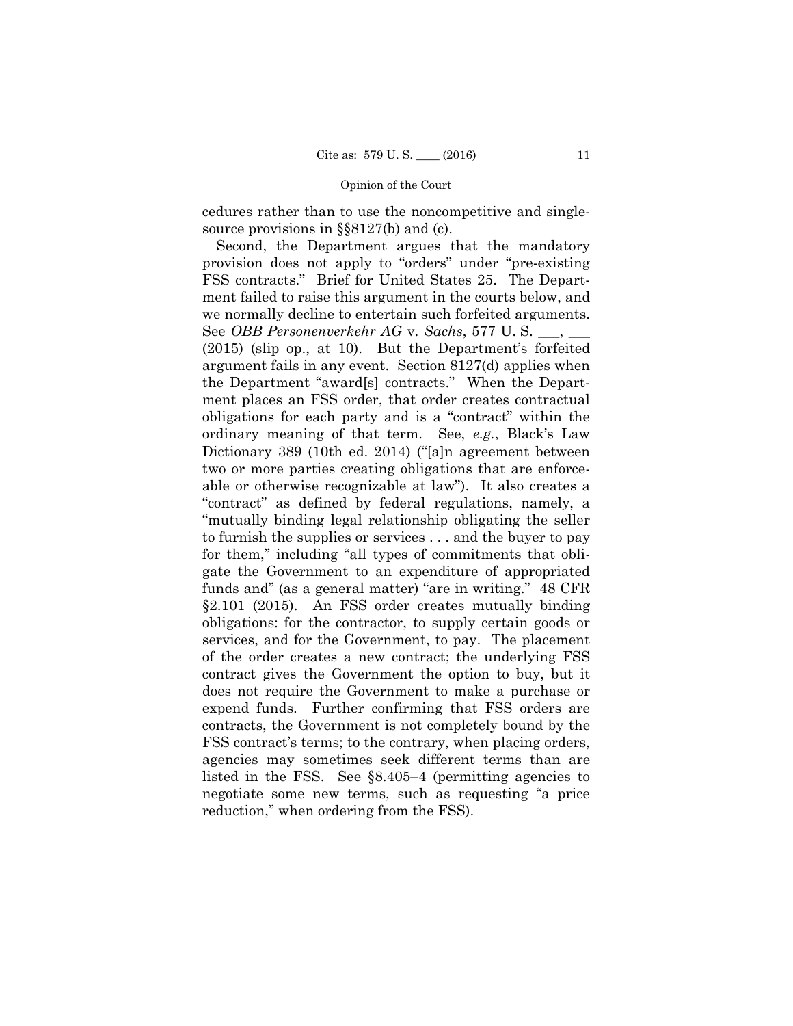cedures rather than to use the noncompetitive and singlesource provisions in §§8127(b) and (c).

Second, the Department argues that the mandatory provision does not apply to "orders" under "pre-existing FSS contracts." Brief for United States 25. The Department failed to raise this argument in the courts below, and we normally decline to entertain such forfeited arguments. See *OBB Personenverkehr AG* v. *Sachs*, 577 U. S. \_\_\_, \_\_\_ (2015) (slip op., at 10). But the Department's forfeited argument fails in any event. Section 8127(d) applies when the Department "award[s] contracts." When the Department places an FSS order, that order creates contractual obligations for each party and is a "contract" within the ordinary meaning of that term. See, *e.g.*, Black's Law Dictionary 389 (10th ed. 2014) ("[a]n agreement between two or more parties creating obligations that are enforceable or otherwise recognizable at law"). It also creates a "contract" as defined by federal regulations, namely, a "mutually binding legal relationship obligating the seller to furnish the supplies or services . . . and the buyer to pay for them," including "all types of commitments that obligate the Government to an expenditure of appropriated funds and" (as a general matter) "are in writing." 48 CFR §2.101 (2015). An FSS order creates mutually binding obligations: for the contractor, to supply certain goods or services, and for the Government, to pay. The placement of the order creates a new contract; the underlying FSS contract gives the Government the option to buy, but it does not require the Government to make a purchase or expend funds. Further confirming that FSS orders are contracts, the Government is not completely bound by the FSS contract's terms; to the contrary, when placing orders, agencies may sometimes seek different terms than are listed in the FSS. See §8.405–4 (permitting agencies to negotiate some new terms, such as requesting "a price reduction," when ordering from the FSS).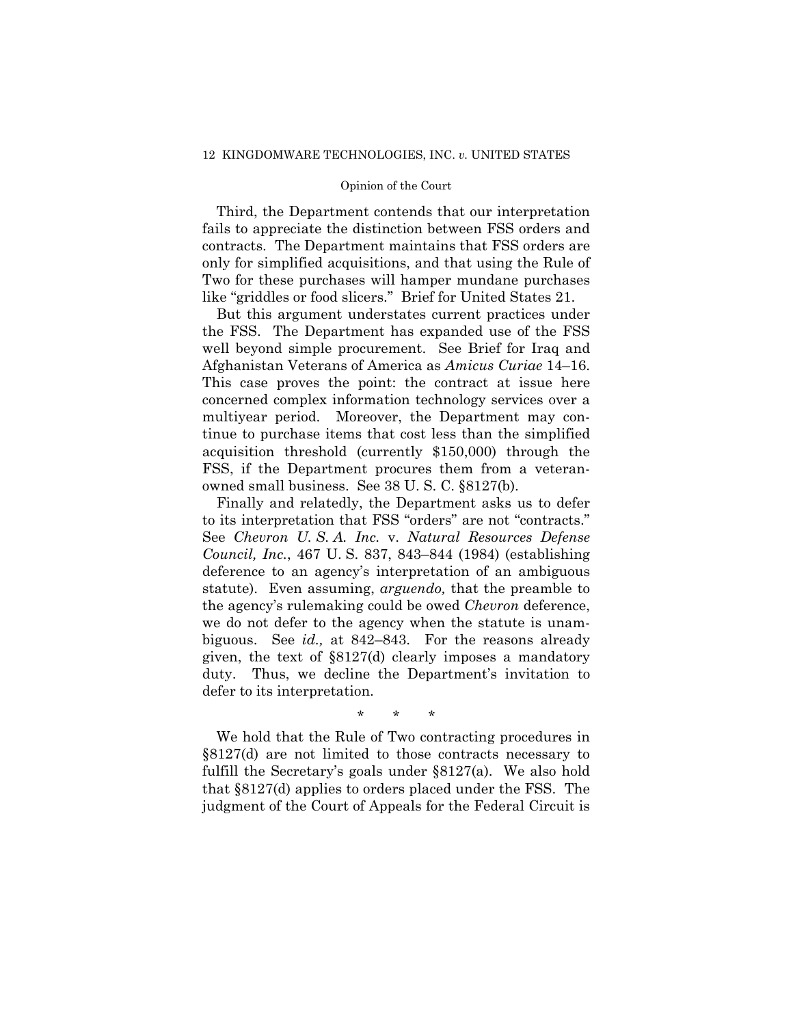Third, the Department contends that our interpretation fails to appreciate the distinction between FSS orders and contracts. The Department maintains that FSS orders are only for simplified acquisitions, and that using the Rule of Two for these purchases will hamper mundane purchases like "griddles or food slicers." Brief for United States 21.

 owned small business. See 38 U. S. C. §8127(b). But this argument understates current practices under the FSS. The Department has expanded use of the FSS well beyond simple procurement. See Brief for Iraq and Afghanistan Veterans of America as *Amicus Curiae* 14–16. This case proves the point: the contract at issue here concerned complex information technology services over a multiyear period. Moreover, the Department may continue to purchase items that cost less than the simplified acquisition threshold (currently \$150,000) through the FSS, if the Department procures them from a veteran-

Finally and relatedly, the Department asks us to defer to its interpretation that FSS "orders" are not "contracts." See *Chevron U. S. A. Inc.* v. *Natural Resources Defense Council, Inc.*, 467 U. S. 837, 843–844 (1984) (establishing deference to an agency's interpretation of an ambiguous statute). Even assuming, *arguendo,* that the preamble to the agency's rulemaking could be owed *Chevron* deference, we do not defer to the agency when the statute is unambiguous. See *id.,* at 842–843. For the reasons already given, the text of §8127(d) clearly imposes a mandatory duty. Thus, we decline the Department's invitation to defer to its interpretation.

\* \* \*

We hold that the Rule of Two contracting procedures in §8127(d) are not limited to those contracts necessary to fulfill the Secretary's goals under §8127(a). We also hold that §8127(d) applies to orders placed under the FSS. The judgment of the Court of Appeals for the Federal Circuit is